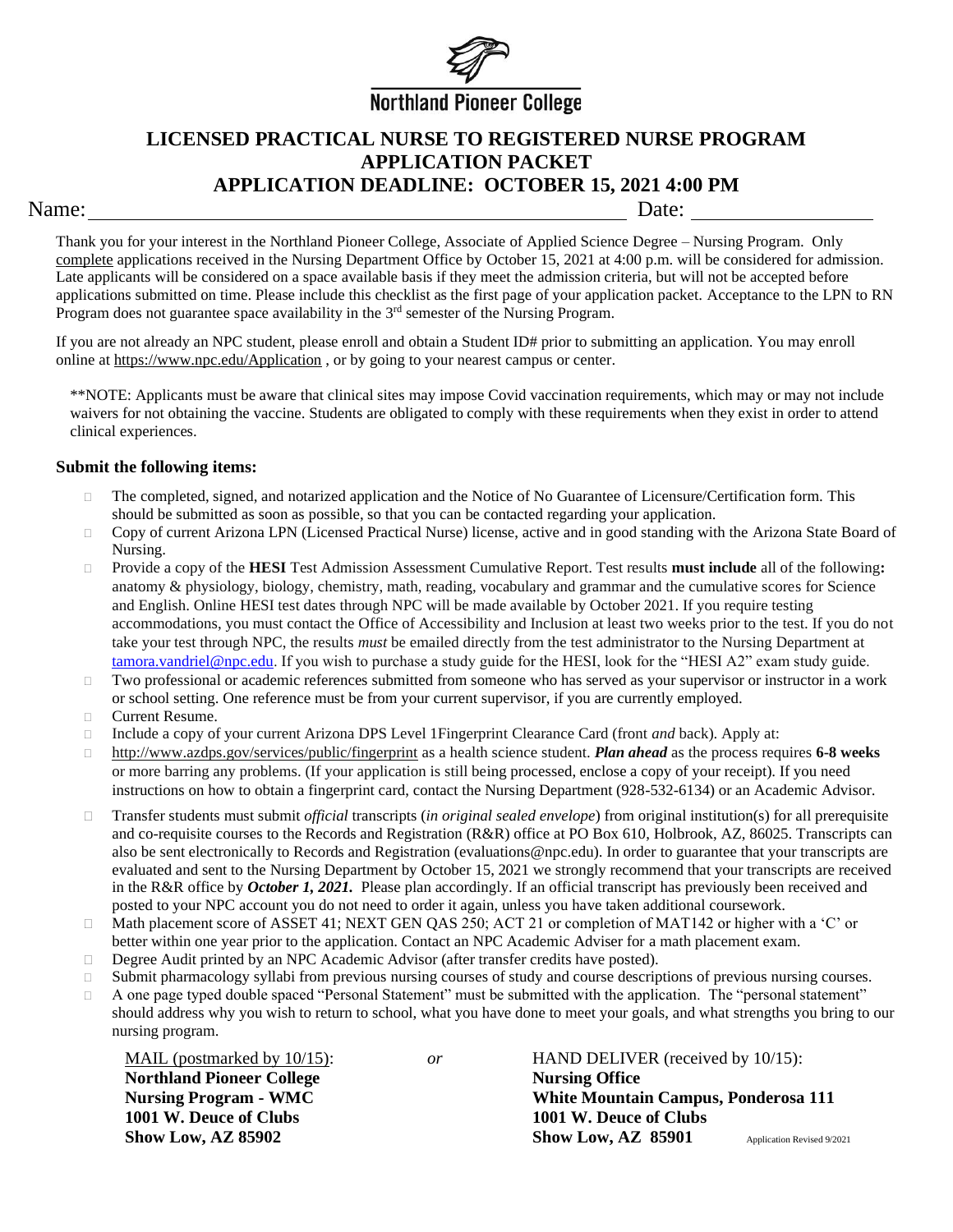

### **Northland Pioneer College**

### **LICENSED PRACTICAL NURSE TO REGISTERED NURSE PROGRAM APPLICATION PACKET APPLICATION DEADLINE: OCTOBER 15, 2021 4:00 PM**

#### Name: Date:

Thank you for your interest in the Northland Pioneer College, Associate of Applied Science Degree – Nursing Program. Only complete applications received in the Nursing Department Office by October 15, 2021 at 4:00 p.m. will be considered for admission. Late applicants will be considered on a space available basis if they meet the admission criteria, but will not be accepted before applications submitted on time. Please include this checklist as the first page of your application packet. Acceptance to the LPN to RN Program does not guarantee space availability in the  $3<sup>rd</sup>$  semester of the Nursing Program.

If you are not already an NPC student, please enroll and obtain a Student ID# prior to submitting an application. You may enroll online at <https://www.npc.edu/Application> , or by going to your nearest campus or center.

\*\*NOTE: Applicants must be aware that clinical sites may impose Covid vaccination requirements, which may or may not include waivers for not obtaining the vaccine. Students are obligated to comply with these requirements when they exist in order to attend clinical experiences.

#### **Submit the following items:**

- The completed, signed, and notarized application and the Notice of No Guarantee of Licensure/Certification form. This should be submitted as soon as possible, so that you can be contacted regarding your application.
- □ Copy of current Arizona LPN (Licensed Practical Nurse) license, active and in good standing with the Arizona State Board of Nursing.
- Provide a copy of the **HESI** Test Admission Assessment Cumulative Report. Test results **must include** all of the following**:** anatomy & physiology, biology, chemistry, math, reading, vocabulary and grammar and the cumulative scores for Science and English. Online HESI test dates through NPC will be made available by October 2021. If you require testing accommodations, you must contact the Office of Accessibility and Inclusion at least two weeks prior to the test. If you do not take your test through NPC, the results *must* be emailed directly from the test administrator to the Nursing Department at [tamora.vandriel@npc.edu.](mailto:tamora.vandriel@npc.edu) If you wish to purchase a study guide for the HESI, look for the "HESI A2" exam study guide.
- □ Two professional or academic references submitted from someone who has served as your supervisor or instructor in a work or school setting. One reference must be from your current supervisor, if you are currently employed.
- **Current Resume.**
- □ Include a copy of your current Arizona DPS Level 1Fingerprint Clearance Card (front *and* back). Apply at:
- <http://www.azdps.gov/services/public/fingerprint> as a health science student. *Plan ahead* as the process requires **6-8 weeks** or more barring any problems. (If your application is still being processed, enclose a copy of your receipt). If you need instructions on how to obtain a fingerprint card, contact the Nursing Department (928-532-6134) or an Academic Advisor.
- Transfer students must submit *official* transcripts (*in original sealed envelope*) from original institution(s) for all prerequisite and co-requisite courses to the Records and Registration (R&R) office at PO Box 610, Holbrook, AZ, 86025. Transcripts can also be sent electronically to Records and Registration (evaluations@npc.edu). In order to guarantee that your transcripts are evaluated and sent to the Nursing Department by October 15, 2021 we strongly recommend that your transcripts are received in the R&R office by *October 1, 2021*. Please plan accordingly. If an official transcript has previously been received and posted to your NPC account you do not need to order it again, unless you have taken additional coursework.
- $\Box$  Math placement score of ASSET 41; NEXT GEN QAS 250; ACT 21 or completion of MAT142 or higher with a 'C' or better within one year prior to the application. Contact an NPC Academic Adviser for a math placement exam.
- Degree Audit printed by an NPC Academic Advisor (after transfer credits have posted).
- $\Box$  Submit pharmacology syllabi from previous nursing courses of study and course descriptions of previous nursing courses.
- $\Box$  A one page typed double spaced "Personal Statement" must be submitted with the application. The "personal statement" should address why you wish to return to school, what you have done to meet your goals, and what strengths you bring to our nursing program.

**Northland Pioneer College Nursing Office 1001 W. Deuce of Clubs 1001 W. Deuce of Clubs**

 MAIL (postmarked by 10/15): *or* HAND DELIVER (received by 10/15):  **Nursing Program - WMC White Mountain Campus, Ponderosa 111 Show Low, AZ 85902 Show Low, AZ 85901 Application Revised 9/2021**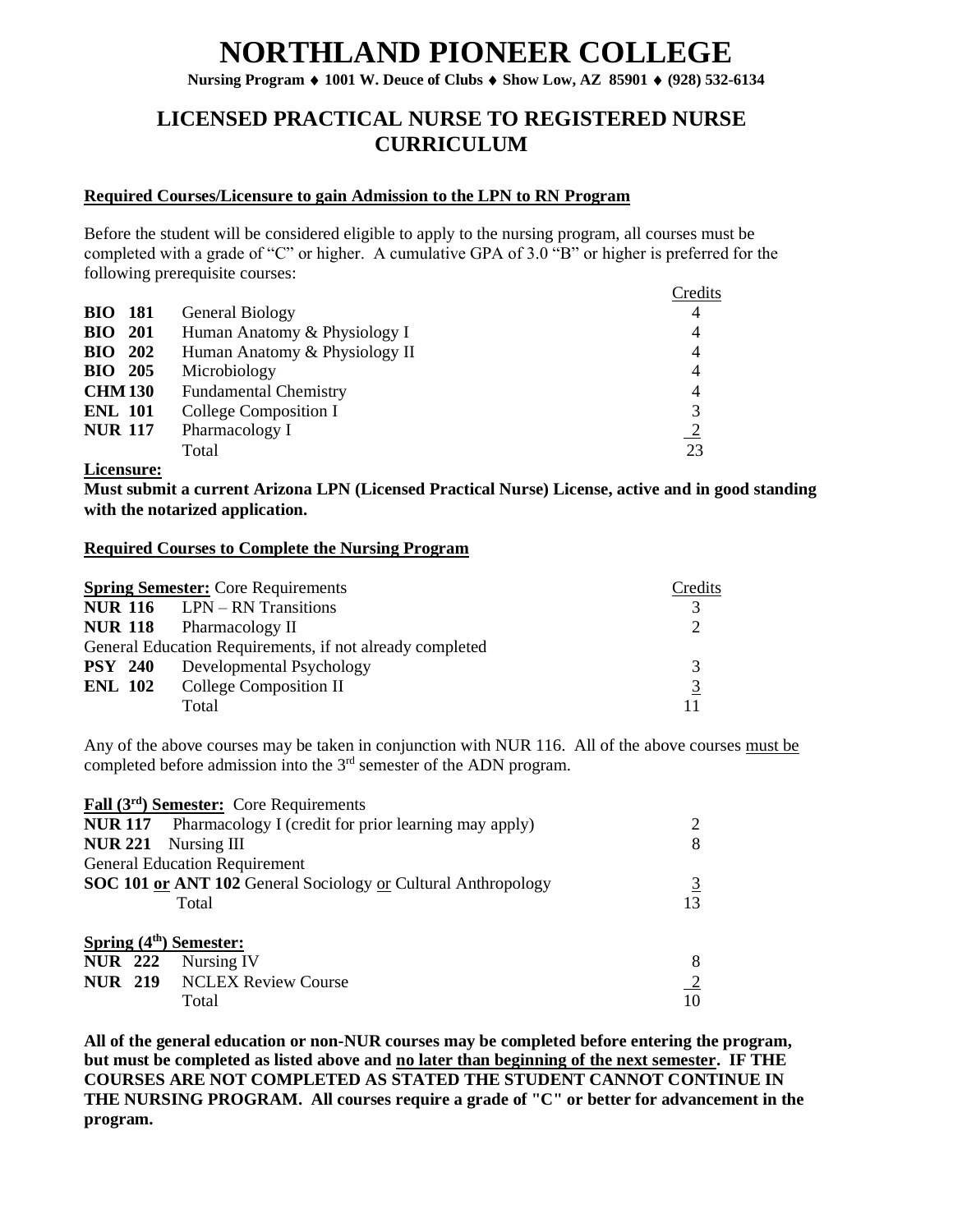**Nursing Program 1001 W. Deuce of Clubs Show Low, AZ 85901 (928) 532-6134**

### **LICENSED PRACTICAL NURSE TO REGISTERED NURSE CURRICULUM**

#### **Required Courses/Licensure to gain Admission to the LPN to RN Program**

Before the student will be considered eligible to apply to the nursing program, all courses must be completed with a grade of "C" or higher. A cumulative GPA of 3.0 "B" or higher is preferred for the following prerequisite courses:

|                |                               | Credits        |
|----------------|-------------------------------|----------------|
| <b>BIO</b> 181 | <b>General Biology</b>        | 4              |
| <b>BIO</b> 201 | Human Anatomy & Physiology I  | 4              |
| <b>BIO</b> 202 | Human Anatomy & Physiology II | $\overline{4}$ |
| <b>BIO</b> 205 | Microbiology                  | 4              |
| <b>CHM130</b>  | <b>Fundamental Chemistry</b>  | 4              |
| <b>ENL 101</b> | College Composition I         | 3              |
| <b>NUR 117</b> | Pharmacology I                | $\frac{2}{2}$  |
|                | Total                         | 23             |
|                |                               |                |

**Licensure:**

**Must submit a current Arizona LPN (Licensed Practical Nurse) License, active and in good standing with the notarized application.**

#### **Required Courses to Complete the Nursing Program**

|                | <b>Spring Semester:</b> Core Requirements                | Credits |
|----------------|----------------------------------------------------------|---------|
|                | <b>NUR 116</b> LPN $-RN$ Transitions                     |         |
|                | <b>NUR 118</b> Pharmacology II                           |         |
|                | General Education Requirements, if not already completed |         |
| <b>PSY 240</b> | Developmental Psychology                                 |         |
| <b>ENL 102</b> | College Composition II                                   |         |
|                | Total                                                    |         |

Any of the above courses may be taken in conjunction with NUR 116. All of the above courses must be completed before admission into the 3rd semester of the ADN program.

|                | <b>Fall <math>(3rd)</math> Semester:</b> Core Requirements          |                |
|----------------|---------------------------------------------------------------------|----------------|
|                | <b>NUR 117</b> Pharmacology I (credit for prior learning may apply) | 2              |
|                | NUR 221 Nursing III                                                 | 8              |
|                | <b>General Education Requirement</b>                                |                |
|                | SOC 101 or ANT 102 General Sociology or Cultural Anthropology       | $\overline{3}$ |
|                | Total                                                               | 13             |
|                |                                                                     |                |
|                | Spring $(4th)$ Semester:                                            |                |
| <b>NUR 222</b> | Nursing IV                                                          | 8              |
|                | <b>NUR 219 NCLEX Review Course</b>                                  | $\sqrt{2}$     |
|                | Total                                                               | 10             |

**All of the general education or non-NUR courses may be completed before entering the program, but must be completed as listed above and no later than beginning of the next semester. IF THE COURSES ARE NOT COMPLETED AS STATED THE STUDENT CANNOT CONTINUE IN THE NURSING PROGRAM. All courses require a grade of "C" or better for advancement in the program.**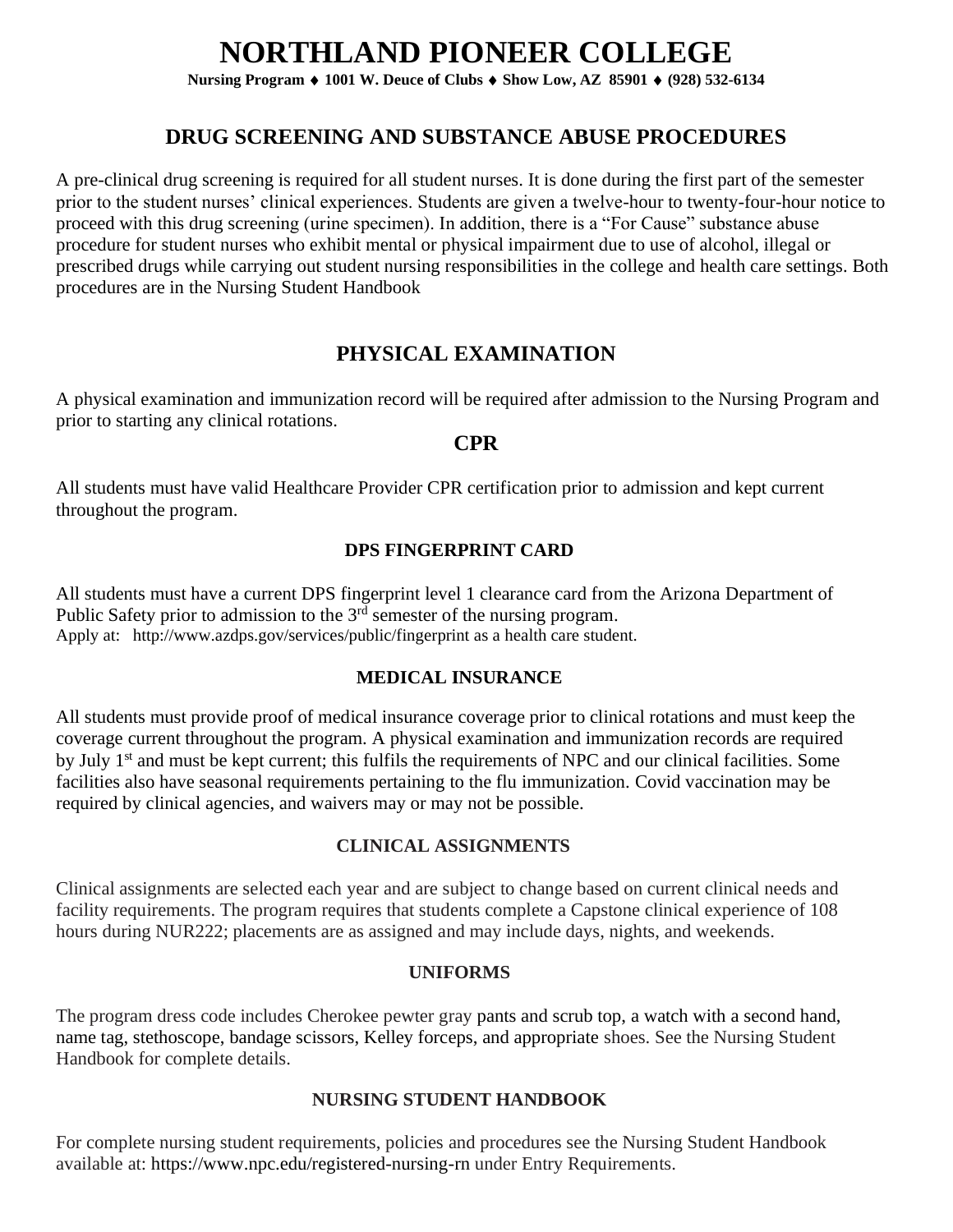**Nursing Program 1001 W. Deuce of Clubs Show Low, AZ 85901 (928) 532-6134**

### **DRUG SCREENING AND SUBSTANCE ABUSE PROCEDURES**

A pre-clinical drug screening is required for all student nurses. It is done during the first part of the semester prior to the student nurses' clinical experiences. Students are given a twelve-hour to twenty-four-hour notice to proceed with this drug screening (urine specimen). In addition, there is a "For Cause" substance abuse procedure for student nurses who exhibit mental or physical impairment due to use of alcohol, illegal or prescribed drugs while carrying out student nursing responsibilities in the college and health care settings. Both procedures are in the Nursing Student Handbook

### **PHYSICAL EXAMINATION**

A physical examination and immunization record will be required after admission to the Nursing Program and prior to starting any clinical rotations.

#### **CPR**

All students must have valid Healthcare Provider CPR certification prior to admission and kept current throughout the program.

#### **DPS FINGERPRINT CARD**

All students must have a current DPS fingerprint level 1 clearance card from the Arizona Department of Public Safety prior to admission to the 3<sup>rd</sup> semester of the nursing program. Apply at: <http://www.azdps.gov/services/public/fingerprint> as a health care student.

#### **MEDICAL INSURANCE**

All students must provide proof of medical insurance coverage prior to clinical rotations and must keep the coverage current throughout the program. A physical examination and immunization records are required by July 1st and must be kept current; this fulfils the requirements of NPC and our clinical facilities. Some facilities also have seasonal requirements pertaining to the flu immunization. Covid vaccination may be required by clinical agencies, and waivers may or may not be possible.

#### **CLINICAL ASSIGNMENTS**

Clinical assignments are selected each year and are subject to change based on current clinical needs and facility requirements. The program requires that students complete a Capstone clinical experience of 108 hours during NUR222; placements are as assigned and may include days, nights, and weekends.

#### **UNIFORMS**

The program dress code includes Cherokee pewter gray pants and scrub top, a watch with a second hand, name tag, stethoscope, bandage scissors, Kelley forceps, and appropriate shoes. See the Nursing Student Handbook for complete details.

#### **NURSING STUDENT HANDBOOK**

For complete nursing student requirements, policies and procedures see the Nursing Student Handbook available at:<https://www.npc.edu/registered-nursing-rn> under Entry Requirements.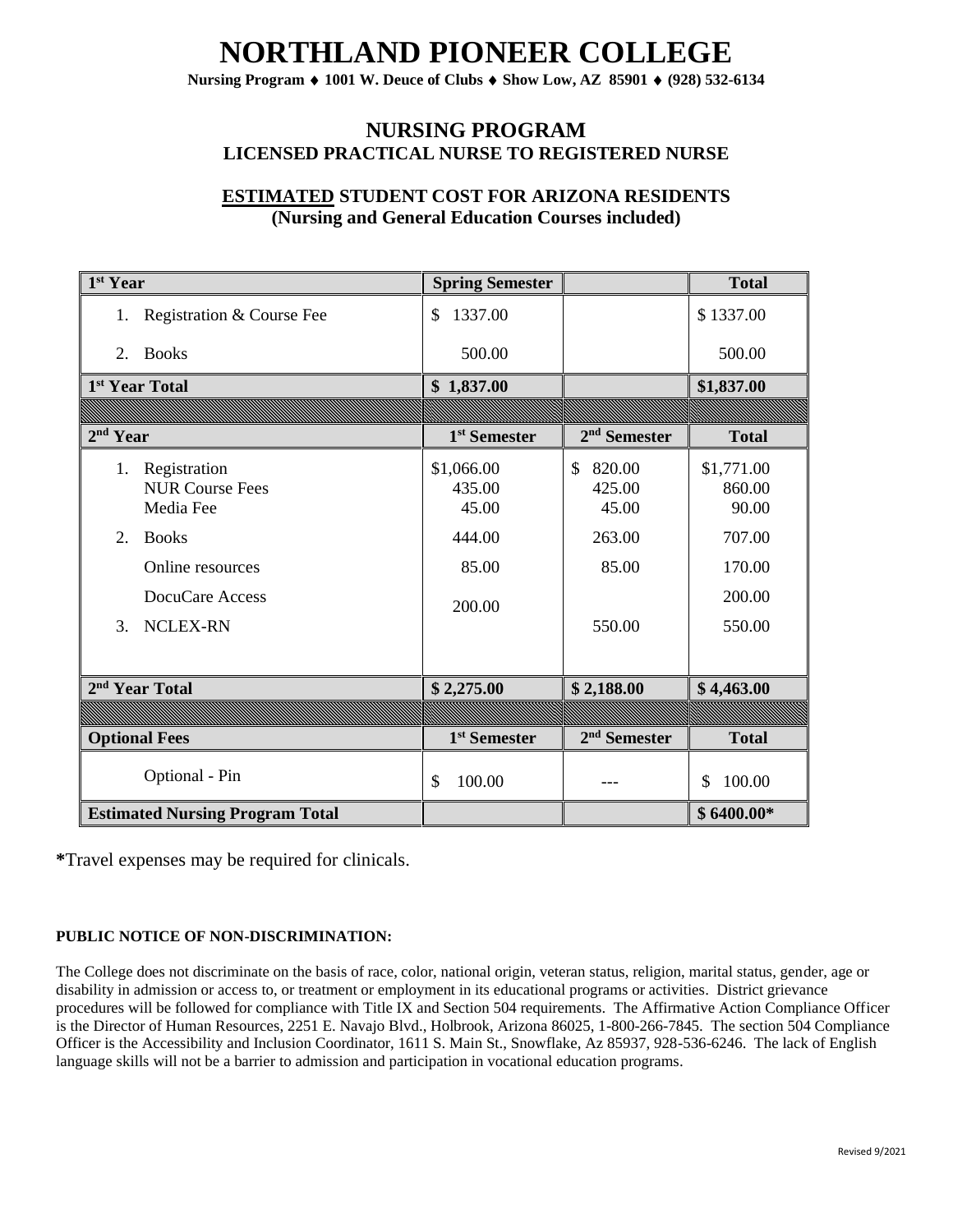**Nursing Program 1001 W. Deuce of Clubs Show Low, AZ 85901 (928) 532-6134**

#### **NURSING PROGRAM LICENSED PRACTICAL NURSE TO REGISTERED NURSE**

#### **ESTIMATED STUDENT COST FOR ARIZONA RESIDENTS (Nursing and General Education Courses included)**

| <sup>1st</sup> Year                                                                                                                             | <b>Spring Semester</b>                                     |                                                                         | <b>Total</b>                                                          |
|-------------------------------------------------------------------------------------------------------------------------------------------------|------------------------------------------------------------|-------------------------------------------------------------------------|-----------------------------------------------------------------------|
| Registration & Course Fee<br>1.                                                                                                                 | 1337.00<br>$\mathcal{S}$                                   |                                                                         | \$1337.00                                                             |
| <b>Books</b><br>2.                                                                                                                              | 500.00                                                     |                                                                         | 500.00                                                                |
| 1 <sup>st</sup> Year Total                                                                                                                      | \$1,837.00                                                 |                                                                         | \$1,837.00                                                            |
|                                                                                                                                                 |                                                            |                                                                         |                                                                       |
| $2nd$ Year                                                                                                                                      | 1 <sup>st</sup> Semester                                   | 2 <sup>nd</sup> Semester                                                | <b>Total</b>                                                          |
| Registration<br>1.<br><b>NUR Course Fees</b><br>Media Fee<br>2.<br><b>Books</b><br>Online resources<br>DocuCare Access<br><b>NCLEX-RN</b><br>3. | \$1,066.00<br>435.00<br>45.00<br>444.00<br>85.00<br>200.00 | $\mathcal{S}$<br>820.00<br>425.00<br>45.00<br>263.00<br>85.00<br>550.00 | \$1,771.00<br>860.00<br>90.00<br>707.00<br>170.00<br>200.00<br>550.00 |
| 2 <sup>nd</sup> Year Total                                                                                                                      | \$2,275.00                                                 | \$2,188.00                                                              | \$4,463.00                                                            |
|                                                                                                                                                 |                                                            |                                                                         |                                                                       |
| <b>Optional Fees</b>                                                                                                                            | 1 <sup>st</sup> Semester                                   | $2nd$ Semester                                                          | <b>Total</b>                                                          |
| Optional - Pin                                                                                                                                  | 100.00<br>\$                                               |                                                                         | \$<br>100.00                                                          |
| <b>Estimated Nursing Program Total</b>                                                                                                          |                                                            |                                                                         | $$6400.00*$                                                           |

**\***Travel expenses may be required for clinicals.

#### **PUBLIC NOTICE OF NON-DISCRIMINATION:**

The College does not discriminate on the basis of race, color, national origin, veteran status, religion, marital status, gender, age or disability in admission or access to, or treatment or employment in its educational programs or activities. District grievance procedures will be followed for compliance with Title IX and Section 504 requirements. The Affirmative Action Compliance Officer is the Director of Human Resources, 2251 E. Navajo Blvd., Holbrook, Arizona 86025, 1-800-266-7845. The section 504 Compliance Officer is the Accessibility and Inclusion Coordinator, 1611 S. Main St., Snowflake, Az 85937, 928-536-6246. The lack of English language skills will not be a barrier to admission and participation in vocational education programs.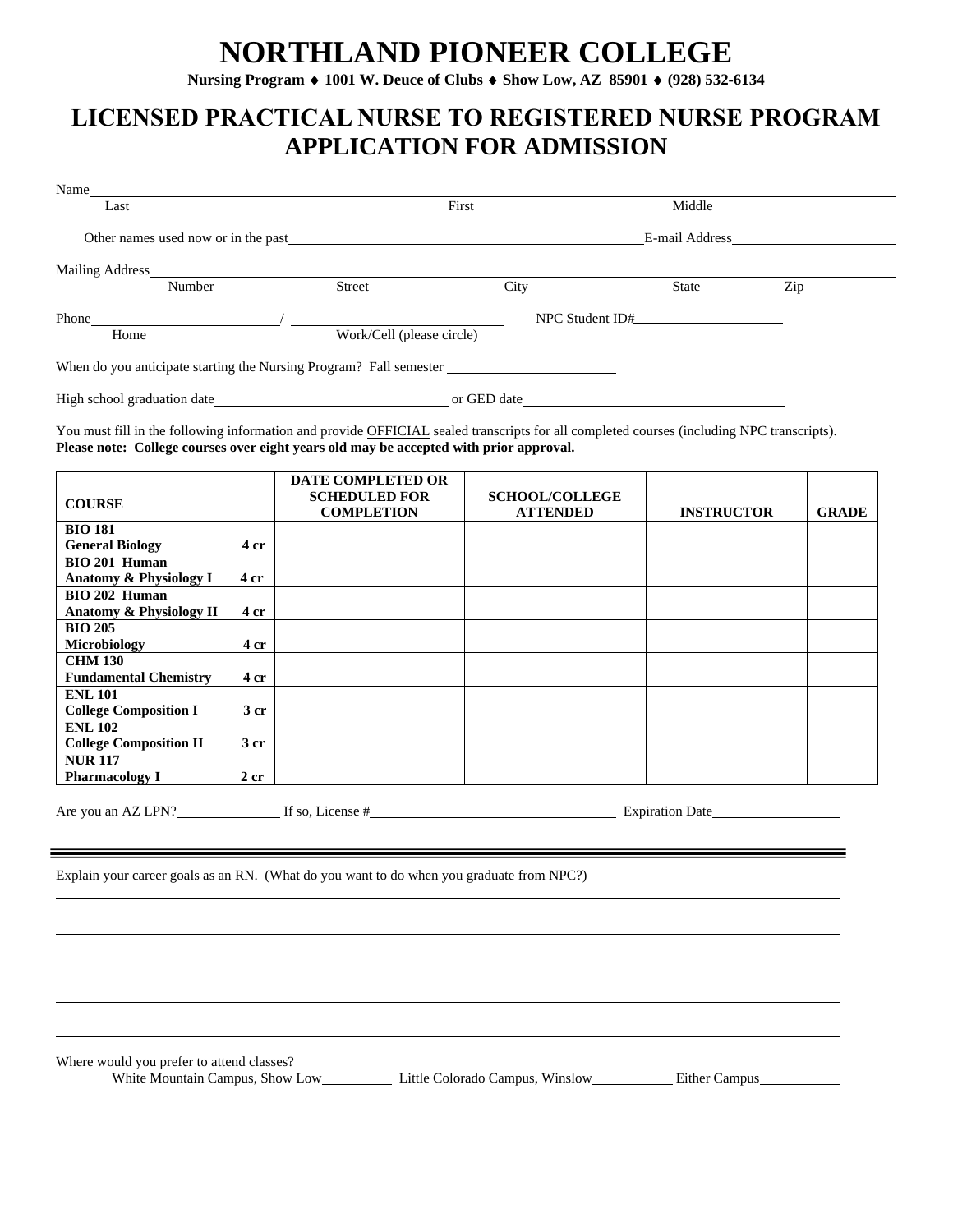**Nursing Program 1001 W. Deuce of Clubs Show Low, AZ 85901 (928) 532-6134**

### **LICENSED PRACTICAL NURSE TO REGISTERED NURSE PROGRAM APPLICATION FOR ADMISSION**

| Name                        |        |                                                                    |      |                |     |  |
|-----------------------------|--------|--------------------------------------------------------------------|------|----------------|-----|--|
| Last                        |        | First                                                              |      | Middle         |     |  |
|                             |        | Other names used now or in the past<br><u>example and</u>          |      | E-mail Address |     |  |
| <b>Mailing Address</b>      |        |                                                                    |      |                |     |  |
|                             | Number | <b>Street</b>                                                      | City | <b>State</b>   | Zip |  |
| Phone                       |        |                                                                    |      |                |     |  |
| Home                        |        | Work/Cell (please circle)                                          |      |                |     |  |
|                             |        | When do you anticipate starting the Nursing Program? Fall semester |      |                |     |  |
| High school graduation date |        | or GED date                                                        |      |                |     |  |

You must fill in the following information and provide **OFFICIAL** sealed transcripts for all completed courses (including NPC transcripts). **Please note: College courses over eight years old may be accepted with prior approval.**

| <b>COURSE</b>                 |                 | <b>DATE COMPLETED OR</b><br><b>SCHEDULED FOR</b> | <b>SCHOOL/COLLEGE</b> |                   |              |
|-------------------------------|-----------------|--------------------------------------------------|-----------------------|-------------------|--------------|
|                               |                 | <b>COMPLETION</b>                                | <b>ATTENDED</b>       | <b>INSTRUCTOR</b> | <b>GRADE</b> |
| <b>BIO 181</b>                |                 |                                                  |                       |                   |              |
| <b>General Biology</b>        | 4 cr            |                                                  |                       |                   |              |
| BIO 201 Human                 |                 |                                                  |                       |                   |              |
| Anatomy & Physiology I        | 4 cr            |                                                  |                       |                   |              |
| BIO 202 Human                 |                 |                                                  |                       |                   |              |
| Anatomy & Physiology II       | 4 cr            |                                                  |                       |                   |              |
| <b>BIO 205</b>                |                 |                                                  |                       |                   |              |
| <b>Microbiology</b>           | 4 cr            |                                                  |                       |                   |              |
| <b>CHM 130</b>                |                 |                                                  |                       |                   |              |
| <b>Fundamental Chemistry</b>  | 4 cr            |                                                  |                       |                   |              |
| <b>ENL 101</b>                |                 |                                                  |                       |                   |              |
| <b>College Composition I</b>  | 3 cr            |                                                  |                       |                   |              |
| <b>ENL 102</b>                |                 |                                                  |                       |                   |              |
| <b>College Composition II</b> | 3 <sub>cr</sub> |                                                  |                       |                   |              |
| <b>NUR 117</b>                |                 |                                                  |                       |                   |              |
| <b>Pharmacology I</b>         | 2 <sub>cr</sub> |                                                  |                       |                   |              |

Are you an AZ LPN? If so, License # If so expiration Date

Explain your career goals as an RN. (What do you want to do when you graduate from NPC?)

Where would you prefer to attend classes?

White Mountain Campus, Show Low Little Colorado Campus, Winslow Either Campus

<u> 1980 - Jan Samuel Barbara, martin da basar a shekara 1980 - An tsaran 1980 - An tsara 1980 - An tsara 1980 -</u>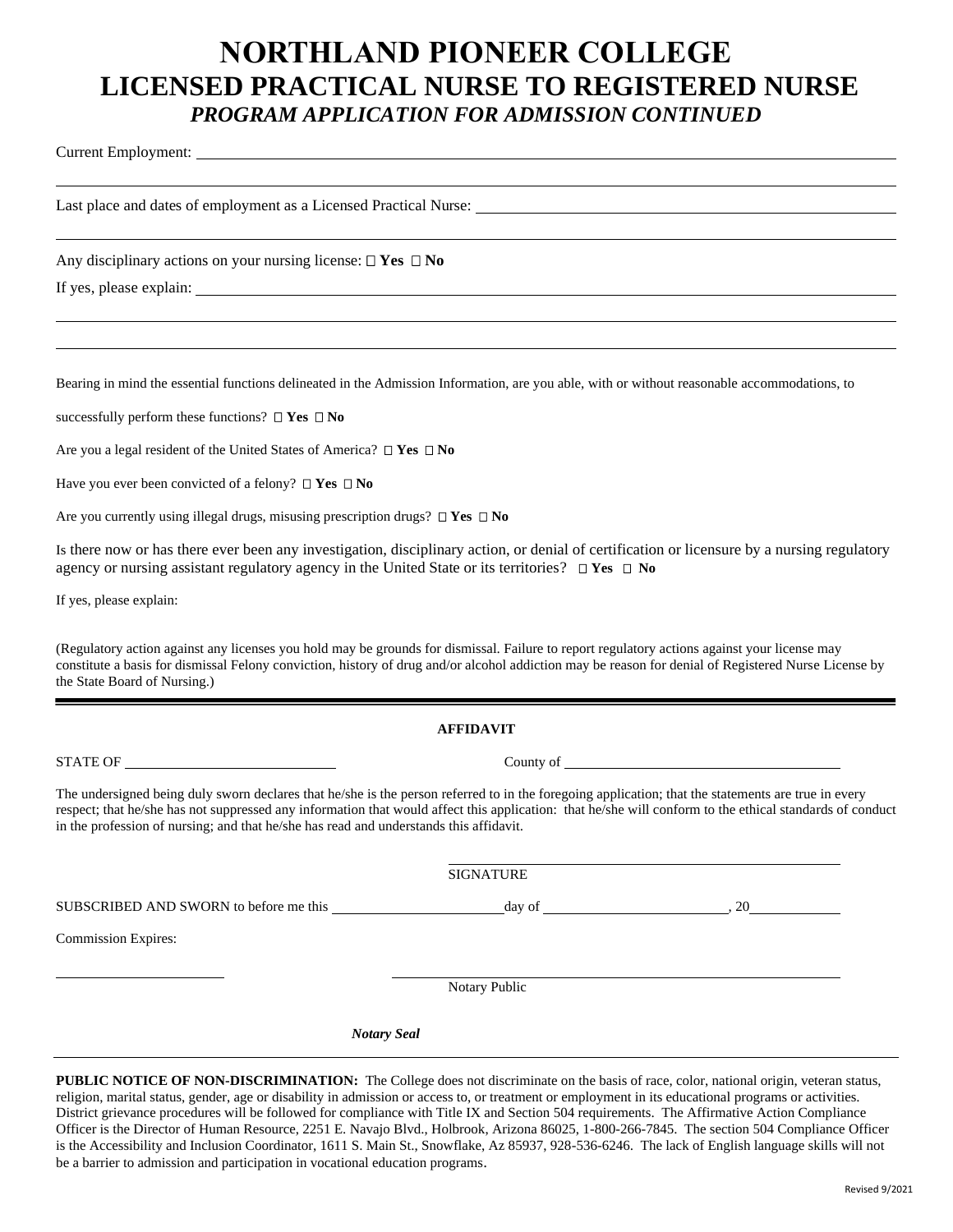## **NORTHLAND PIONEER COLLEGE LICENSED PRACTICAL NURSE TO REGISTERED NURSE** *PROGRAM APPLICATION FOR ADMISSION CONTINUED*

Current Employment:

Last place and dates of employment as a Licensed Practical Nurse: \_\_\_\_\_\_\_\_\_\_\_\_\_\_

Any disciplinary actions on your nursing license:  $\Box$  Yes  $\Box$  No

If yes, please explain:

Bearing in mind the essential functions delineated in the Admission Information, are you able, with or without reasonable accommodations, to

successfully perform these functions?  $\Box$  **Yes**  $\Box$  **No** 

Are you a legal resident of the United States of America?  $\Box$  Yes  $\Box$  No

Have you ever been convicted of a felony?  $\Box$  **Yes**  $\Box$  **No** 

Are you currently using illegal drugs, misusing prescription drugs?  $\Box$  Yes  $\Box$  No

Is there now or has there ever been any investigation, disciplinary action, or denial of certification or licensure by a nursing regulatory agency or nursing assistant regulatory agency in the United State or its territories?  $\Box$  Yes  $\Box$  No

If yes, please explain:

(Regulatory action against any licenses you hold may be grounds for dismissal. Failure to report regulatory actions against your license may constitute a basis for dismissal Felony conviction, history of drug and/or alcohol addiction may be reason for denial of Registered Nurse License by the State Board of Nursing.)

**AFFIDAVIT**

| The undersigned being duly sworn declares that he/she is the person referred to in the foregoing application; that the statements are true in every<br>respect; that he/she has not suppressed any information that would affect this application: that he/she will conform to the ethical standards of conduct<br>in the profession of nursing; and that he/she has read and understands this affidavit. |                      |  |
|-----------------------------------------------------------------------------------------------------------------------------------------------------------------------------------------------------------------------------------------------------------------------------------------------------------------------------------------------------------------------------------------------------------|----------------------|--|
|                                                                                                                                                                                                                                                                                                                                                                                                           | <b>SIGNATURE</b>     |  |
| SUBSCRIBED AND SWORN to before me this day of day of the control of the control of the control of the control of the control of the control of the control of the control of the control of the control of the control of the                                                                                                                                                                             |                      |  |
| <b>Commission Expires:</b>                                                                                                                                                                                                                                                                                                                                                                                |                      |  |
|                                                                                                                                                                                                                                                                                                                                                                                                           |                      |  |
|                                                                                                                                                                                                                                                                                                                                                                                                           | <b>Notary Public</b> |  |
|                                                                                                                                                                                                                                                                                                                                                                                                           |                      |  |

*Notary Seal*

**PUBLIC NOTICE OF NON-DISCRIMINATION:** The College does not discriminate on the basis of race, color, national origin, veteran status, religion, marital status, gender, age or disability in admission or access to, or treatment or employment in its educational programs or activities. District grievance procedures will be followed for compliance with Title IX and Section 504 requirements. The Affirmative Action Compliance Officer is the Director of Human Resource, 2251 E. Navajo Blvd., Holbrook, Arizona 86025, 1-800-266-7845. The section 504 Compliance Officer is the Accessibility and Inclusion Coordinator, 1611 S. Main St., Snowflake, Az 85937, 928-536-6246. The lack of English language skills will not be a barrier to admission and participation in vocational education programs.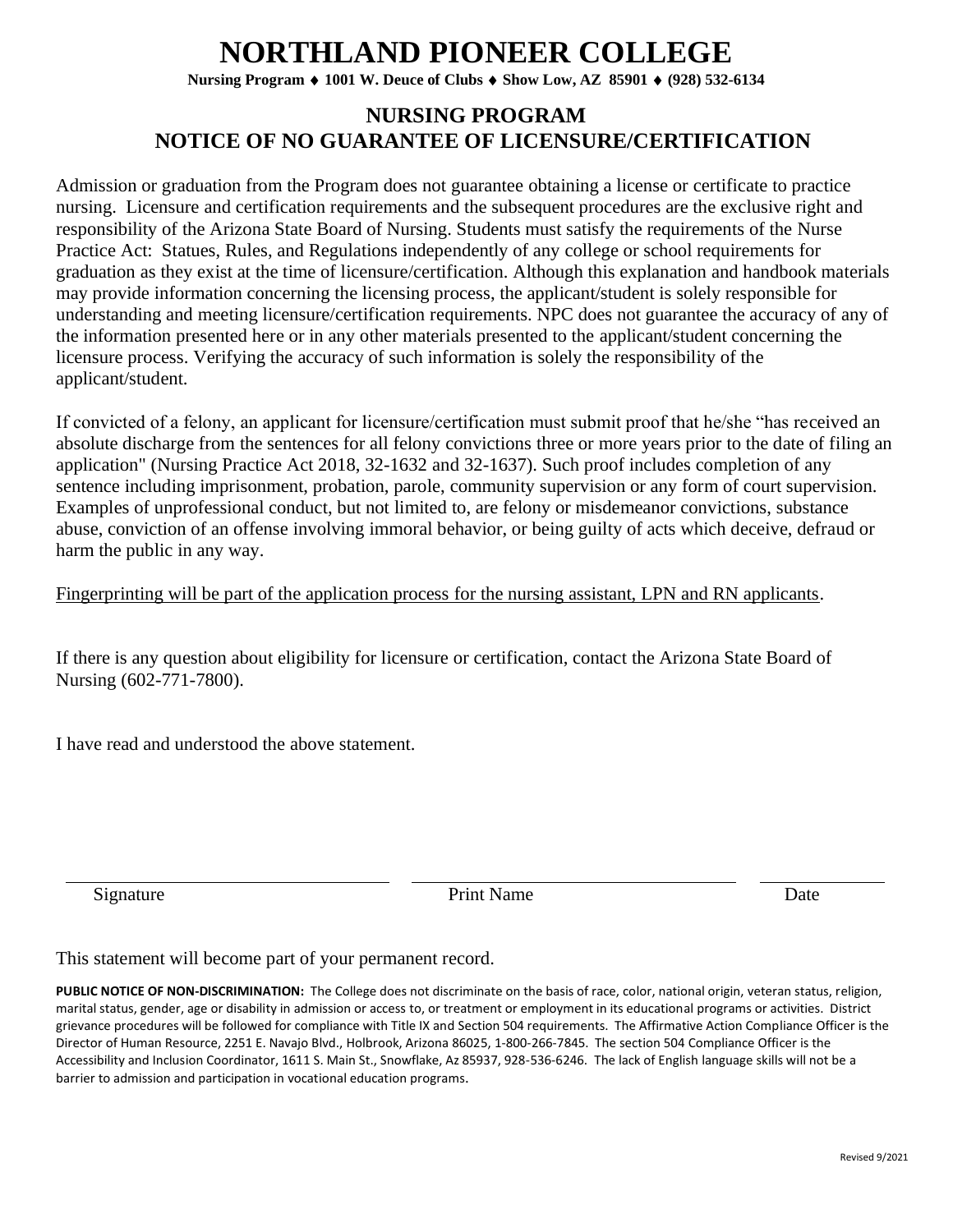# **NELAND PIONEER COLLEG**

**Nursing Program 1001 W. Deuce of Clubs Show Low, AZ 85901 (928) 532-6134**

### **NURSING PROGRAM NOTICE OF NO GUARANTEE OF LICENSURE/CERTIFICATION**

Admission or graduation from the Program does not guarantee obtaining a license or certificate to practice nursing. Licensure and certification requirements and the subsequent procedures are the exclusive right and responsibility of the Arizona State Board of Nursing. Students must satisfy the requirements of the Nurse Practice Act: Statues, Rules, and Regulations independently of any college or school requirements for graduation as they exist at the time of licensure/certification. Although this explanation and handbook materials may provide information concerning the licensing process, the applicant/student is solely responsible for understanding and meeting licensure/certification requirements. NPC does not guarantee the accuracy of any of the information presented here or in any other materials presented to the applicant/student concerning the licensure process. Verifying the accuracy of such information is solely the responsibility of the applicant/student.

If convicted of a felony, an applicant for licensure/certification must submit proof that he/she "has received an absolute discharge from the sentences for all felony convictions three or more years prior to the date of filing an application" (Nursing Practice Act 2018, 32-1632 and 32-1637). Such proof includes completion of any sentence including imprisonment, probation, parole, community supervision or any form of court supervision. Examples of unprofessional conduct, but not limited to, are felony or misdemeanor convictions, substance abuse, conviction of an offense involving immoral behavior, or being guilty of acts which deceive, defraud or harm the public in any way.

Fingerprinting will be part of the application process for the nursing assistant, LPN and RN applicants.

If there is any question about eligibility for licensure or certification, contact the Arizona State Board of Nursing (602-771-7800).

I have read and understood the above statement.

Signature Date **Print Name** Date

This statement will become part of your permanent record.

PUBLIC NOTICE OF NON-DISCRIMINATION: The College does not discriminate on the basis of race, color, national origin, veteran status, religion, marital status, gender, age or disability in admission or access to, or treatment or employment in its educational programs or activities. District grievance procedures will be followed for compliance with Title IX and Section 504 requirements. The Affirmative Action Compliance Officer is the Director of Human Resource, 2251 E. Navajo Blvd., Holbrook, Arizona 86025, 1-800-266-7845. The section 504 Compliance Officer is the Accessibility and Inclusion Coordinator, 1611 S. Main St., Snowflake, Az 85937, 928-536-6246. The lack of English language skills will not be a barrier to admission and participation in vocational education programs.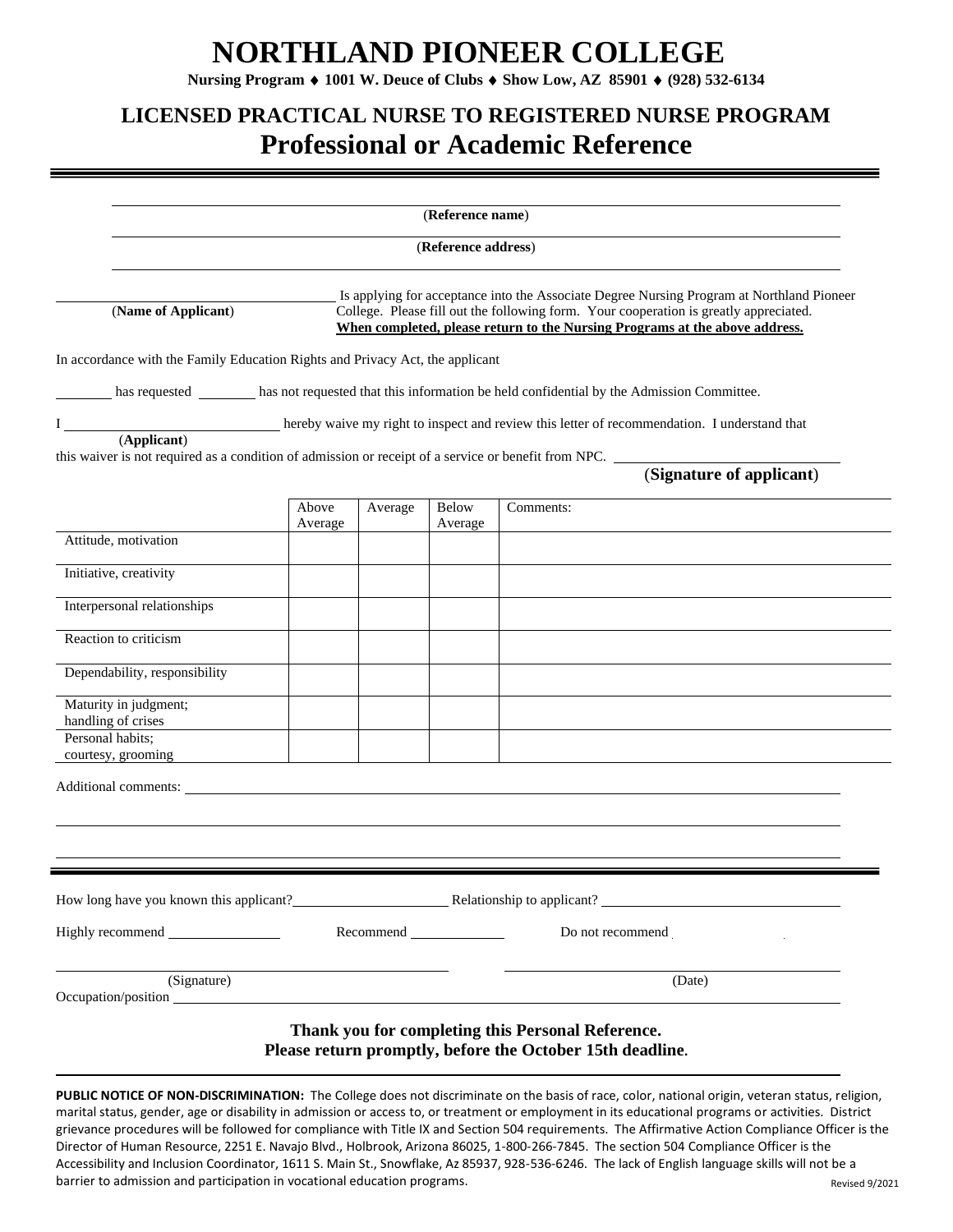**Nursing Program 1001 W. Deuce of Clubs Show Low, AZ 85901 (928) 532-6134**

## **LICENSED PRACTICAL NURSE TO REGISTERED NURSE PROGRAM Professional or Academic Reference**

|                                                                                                                     | (Reference name)                                                                                                                                                                                                                                                  |         |                      |                                                                                                                                   |  |  |  |
|---------------------------------------------------------------------------------------------------------------------|-------------------------------------------------------------------------------------------------------------------------------------------------------------------------------------------------------------------------------------------------------------------|---------|----------------------|-----------------------------------------------------------------------------------------------------------------------------------|--|--|--|
|                                                                                                                     | (Reference address)                                                                                                                                                                                                                                               |         |                      |                                                                                                                                   |  |  |  |
| (Name of Applicant)                                                                                                 | Is applying for acceptance into the Associate Degree Nursing Program at Northland Pioneer<br>College. Please fill out the following form. Your cooperation is greatly appreciated.<br>When completed, please return to the Nursing Programs at the above address. |         |                      |                                                                                                                                   |  |  |  |
| In accordance with the Family Education Rights and Privacy Act, the applicant                                       |                                                                                                                                                                                                                                                                   |         |                      |                                                                                                                                   |  |  |  |
|                                                                                                                     |                                                                                                                                                                                                                                                                   |         |                      | has requested has not requested that this information be held confidential by the Admission Committee.                            |  |  |  |
|                                                                                                                     |                                                                                                                                                                                                                                                                   |         |                      | I ___________________________________hereby waive my right to inspect and review this letter of recommendation. I understand that |  |  |  |
| (Applicant)<br>this waiver is not required as a condition of admission or receipt of a service or benefit from NPC. |                                                                                                                                                                                                                                                                   |         |                      |                                                                                                                                   |  |  |  |
|                                                                                                                     |                                                                                                                                                                                                                                                                   |         |                      | (Signature of applicant)                                                                                                          |  |  |  |
|                                                                                                                     | Above<br>Average                                                                                                                                                                                                                                                  | Average | Below<br>Average     | Comments:                                                                                                                         |  |  |  |
| Attitude, motivation                                                                                                |                                                                                                                                                                                                                                                                   |         |                      |                                                                                                                                   |  |  |  |
| Initiative, creativity                                                                                              |                                                                                                                                                                                                                                                                   |         |                      |                                                                                                                                   |  |  |  |
| Interpersonal relationships                                                                                         |                                                                                                                                                                                                                                                                   |         |                      |                                                                                                                                   |  |  |  |
| Reaction to criticism                                                                                               |                                                                                                                                                                                                                                                                   |         |                      |                                                                                                                                   |  |  |  |
| Dependability, responsibility                                                                                       |                                                                                                                                                                                                                                                                   |         |                      |                                                                                                                                   |  |  |  |
| Maturity in judgment;<br>handling of crises                                                                         |                                                                                                                                                                                                                                                                   |         |                      |                                                                                                                                   |  |  |  |
| Personal habits;                                                                                                    |                                                                                                                                                                                                                                                                   |         |                      |                                                                                                                                   |  |  |  |
| courtesy, grooming                                                                                                  |                                                                                                                                                                                                                                                                   |         |                      |                                                                                                                                   |  |  |  |
|                                                                                                                     |                                                                                                                                                                                                                                                                   |         |                      |                                                                                                                                   |  |  |  |
|                                                                                                                     |                                                                                                                                                                                                                                                                   |         |                      |                                                                                                                                   |  |  |  |
|                                                                                                                     |                                                                                                                                                                                                                                                                   |         |                      |                                                                                                                                   |  |  |  |
|                                                                                                                     |                                                                                                                                                                                                                                                                   |         |                      |                                                                                                                                   |  |  |  |
| How long have you known this applicant?                                                                             |                                                                                                                                                                                                                                                                   |         |                      | <b>Example 2018</b> Relationship to applicant?                                                                                    |  |  |  |
| Highly recommend<br><u>Light</u>                                                                                    |                                                                                                                                                                                                                                                                   |         | Recommend<br><u></u> | Do not recommend                                                                                                                  |  |  |  |
| (Signature)                                                                                                         |                                                                                                                                                                                                                                                                   |         |                      | (Date)                                                                                                                            |  |  |  |
|                                                                                                                     |                                                                                                                                                                                                                                                                   |         |                      |                                                                                                                                   |  |  |  |
|                                                                                                                     |                                                                                                                                                                                                                                                                   |         |                      | Thank you for completing this Personal Reference.<br>Please return promptly, before the October 15th deadline.                    |  |  |  |
|                                                                                                                     |                                                                                                                                                                                                                                                                   |         |                      |                                                                                                                                   |  |  |  |

PUBLIC NOTICE OF NON-DISCRIMINATION: The College does not discriminate on the basis of race, color, national origin, veteran status, religion, marital status, gender, age or disability in admission or access to, or treatment or employment in its educational programs or activities. District grievance procedures will be followed for compliance with Title IX and Section 504 requirements. The Affirmative Action Compliance Officer is the Director of Human Resource, 2251 E. Navajo Blvd., Holbrook, Arizona 86025, 1-800-266-7845. The section 504 Compliance Officer is the Accessibility and Inclusion Coordinator, 1611 S. Main St., Snowflake, Az 85937, 928-536-6246. The lack of English language skills will not be a barrier to admission and participation in vocational education programs. Dependent of the control of the revised 9/2021